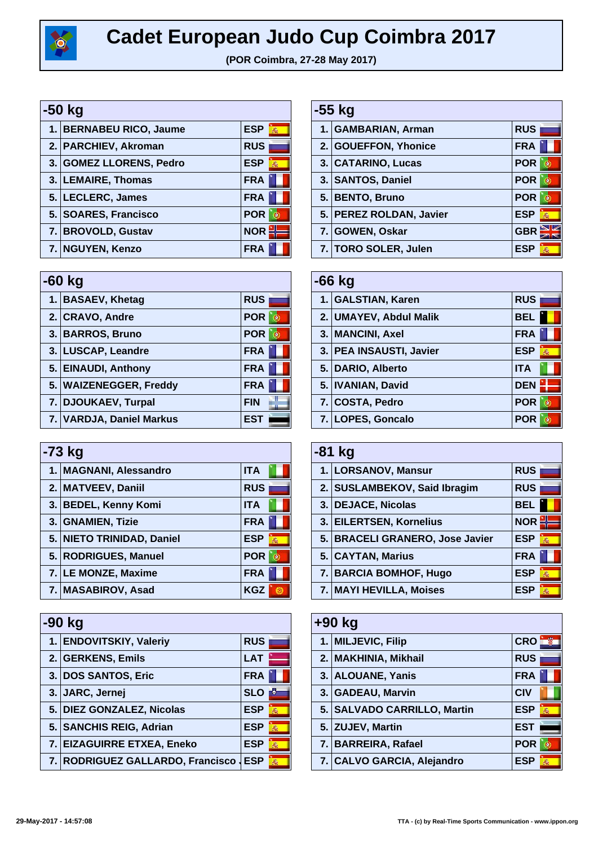

## **Cadet European Judo Cup Coimbra 2017**

**(POR Coimbra, 27-28 May 2017)**

| -50 kg                  |                 |  |  |
|-------------------------|-----------------|--|--|
| 1. BERNABEU RICO, Jaume | <b>ESP</b><br>燕 |  |  |
| 2. PARCHIEV, Akroman    | <b>RUS</b>      |  |  |
| 3. GOMEZ LLORENS, Pedro | <b>ESP</b><br>燕 |  |  |
| 3. LEMAIRE, Thomas      | <b>FRA</b>      |  |  |
| 5. LECLERC, James       | <b>FRA</b>      |  |  |
| 5. SOARES, Francisco    | <b>POR</b>      |  |  |
| 7. BROVOLD, Gustav      | <b>NOR</b>      |  |  |
| 7. NGUYEN, Kenzo        | <b>FRA</b>      |  |  |

| $-60$ kg |                          |            |  |
|----------|--------------------------|------------|--|
|          | 1. BASAEV, Khetag        | <b>RUS</b> |  |
|          | 2. CRAVO, Andre          | <b>POR</b> |  |
|          | 3. BARROS, Bruno         | <b>POR</b> |  |
|          | 3. LUSCAP, Leandre       | <b>FRA</b> |  |
|          | 5. EINAUDI, Anthony      | <b>FRA</b> |  |
|          | 5. WAIZENEGGER, Freddy   | <b>FRA</b> |  |
|          | 7. DJOUKAEV, Turpal      | <b>FIN</b> |  |
|          | 7. VARDJA, Daniel Markus | <b>EST</b> |  |

| -73 kg |                           |                 |  |
|--------|---------------------------|-----------------|--|
|        | 1. MAGNANI, Alessandro    | <b>ITA</b>      |  |
|        | 2. MATVEEV, Daniil        | <b>RUS</b>      |  |
|        | 3. BEDEL, Kenny Komi      | <b>ITA</b>      |  |
|        | 3. GNAMIEN, Tizie         | <b>FRA</b>      |  |
|        | 5. NIETO TRINIDAD, Daniel | <b>ESP</b><br>燕 |  |
|        | 5. RODRIGUES, Manuel      | <b>POR</b>      |  |
|        | 7. LE MONZE, Maxime       | <b>FRA</b>      |  |
|        | 7. MASABIROV, Asad        | <b>KGZ</b>      |  |

| -90 kg                           |            |   |  |
|----------------------------------|------------|---|--|
| 1. ENDOVITSKIY, Valeriy          | <b>RUS</b> |   |  |
| 2. GERKENS, Emils                | <b>LAT</b> |   |  |
| 3. DOS SANTOS, Eric              | <b>FRA</b> |   |  |
| 3. JARC, Jernej                  | <b>SLO</b> |   |  |
| 5. DIEZ GONZALEZ, Nicolas        | <b>ESP</b> | 燕 |  |
| 5. SANCHIS REIG, Adrian          | <b>ESP</b> | 燕 |  |
| 7. EIZAGUIRRE ETXEA, Eneko       | <b>ESP</b> | 燕 |  |
| 7. RODRIGUEZ GALLARDO, Francisco | <b>ESP</b> | 燕 |  |

| -55 kg |                         |                 |
|--------|-------------------------|-----------------|
|        | 1. GAMBARIAN, Arman     | <b>RUS</b>      |
|        | 2. GOUEFFON, Yhonice    | <b>FRA</b>      |
|        | 3. CATARINO, Lucas      | <b>POR</b>      |
|        | 3. SANTOS, Daniel       | <b>POR</b>      |
|        | 5. BENTO, Bruno         | <b>POR</b>      |
|        | 5. PEREZ ROLDAN, Javier | <b>ESP</b><br>燕 |
|        | 7. GOWEN, Oskar         | <b>GBR</b>      |
|        | 7. TORO SOLER, Julen    | ESP<br>燕        |

| -66 kg |                         |            |   |
|--------|-------------------------|------------|---|
|        | 1. GALSTIAN, Karen      | <b>RUS</b> |   |
|        | 2. UMAYEV, Abdul Malik  | BEL        |   |
|        | 3. MANCINI, Axel        | <b>FRA</b> |   |
|        | 3. PEA INSAUSTI, Javier | <b>ESP</b> | 燕 |
|        | 5. DARIO, Alberto       | <b>ITA</b> |   |
|        | 5. IVANIAN, David       | <b>DEN</b> |   |
|        | 7. COSTA, Pedro         | <b>POR</b> |   |
|        | 7. LOPES, Goncalo       | <b>POR</b> |   |

| $-81$ kg |                                 |                 |  |
|----------|---------------------------------|-----------------|--|
|          | 1. LORSANOV, Mansur             | <b>RUS</b>      |  |
|          | 2. SUSLAMBEKOV, Said Ibragim    | <b>RUS</b>      |  |
|          | 3. DEJACE, Nicolas              | BEL             |  |
|          | 3. EILERTSEN, Kornelius         | <b>NOR</b>      |  |
|          | 5. BRACELI GRANERO, Jose Javier | <b>ESP</b><br>燕 |  |
|          | 5. CAYTAN, Marius               | <b>FRA</b>      |  |
|          | 7. BARCIA BOMHOF, Hugo          | <b>ESP</b><br>燕 |  |
|          | 7. MAYI HEVILLA, Moises         | ESP<br>燕        |  |

| $+90$ kg |                             |            |   |
|----------|-----------------------------|------------|---|
|          | 1. MILJEVIC, Filip          | <b>CRO</b> |   |
|          | 2. MAKHINIA, Mikhail        | <b>RUS</b> |   |
|          | 3. ALOUANE, Yanis           | <b>FRA</b> |   |
|          | 3. GADEAU, Marvin           | <b>CIV</b> |   |
|          | 5. SALVADO CARRILLO, Martin | <b>ESP</b> | 轟 |
|          | 5. ZUJEV, Martin            | <b>EST</b> |   |
|          | 7. BARREIRA, Rafael         | <b>POR</b> |   |
|          | 7. CALVO GARCIA, Alejandro  | <b>ESP</b> | 燕 |